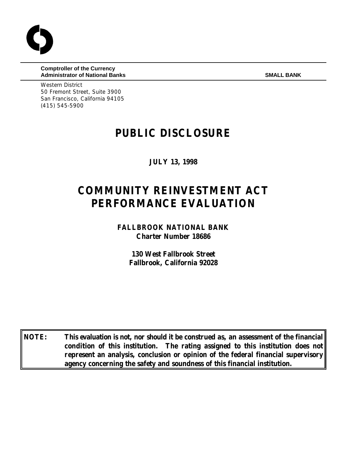**Comptroller of the Currency Administrator of National Banks SMALL BANK** SMALL BANK

Western District 50 Fremont Street, Suite 3900 San Francisco, California 94105 (415) 545-5900

## **PUBLIC DISCLOSURE**

**JULY 13, 1998**

# **COMMUNITY REINVESTMENT ACT PERFORMANCE EVALUATION**

**FALLBROOK NATIONAL BANK Charter Number 18686**

> **130 West Fallbrook Street Fallbrook, California 92028**

**NOTE: This evaluation is not, nor should it be construed as, an assessment of the financial condition of this institution. The rating assigned to this institution does not represent an analysis, conclusion or opinion of the federal financial supervisory agency concerning the safety and soundness of this financial institution.**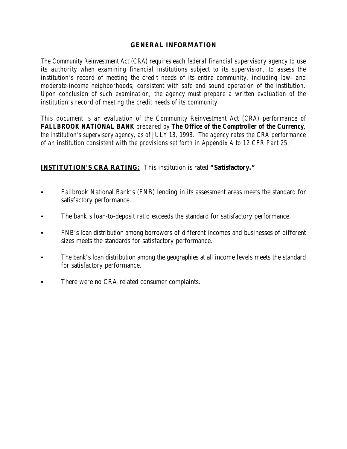## **GENERAL INFORMATION**

*The Community Reinvestment Act (CRA) requires each federal financial supervisory agency to use its authority when examining financial institutions subject to its supervision, to assess the institution's record of meeting the credit needs of its entire community, including low- and moderate-income neighborhoods, consistent with safe and sound operation of the institution. Upon conclusion of such examination, the agency must prepare a written evaluation of the institution's record of meeting the credit needs of its community.* 

*This document is an evaluation of the Community Reinvestment Act (CRA) performance of FALLBROOK NATIONAL BANK prepared by The Office of the Comptroller of the Currency, the institution's supervisory agency, as of JULY 13, 1998. The agency rates the CRA performance of an institution consistent with the provisions set forth in Appendix A to 12 CFR Part 25.*

## **INSTITUTION'S CRA RATING:** This institution is rated **"Satisfactory."**

- Fallbrook National Bank's (FNB) lending in its assessment areas meets the standard for satisfactory performance.
- The bank's loan-to-deposit ratio exceeds the standard for satisfactory performance.
- C FNB's loan distribution among borrowers of different incomes and businesses of different sizes meets the standards for satisfactory performance.
- The bank's loan distribution among the geographies at all income levels meets the standard for satisfactory performance.
- There were no CRA related consumer complaints.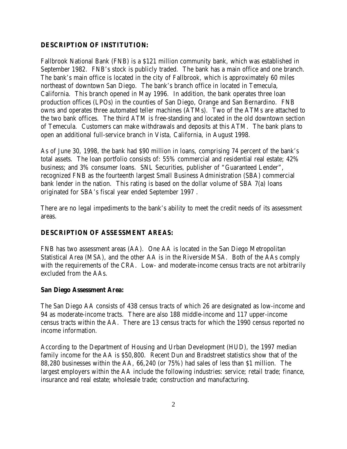## **DESCRIPTION OF INSTITUTION:**

Fallbrook National Bank (FNB) is a \$121 million community bank, which was established in September 1982. FNB's stock is publicly traded. The bank has a main office and one branch. The bank's main office is located in the city of Fallbrook, which is approximately 60 miles northeast of downtown San Diego. The bank's branch office in located in Temecula, California. This branch opened in May 1996. In addition, the bank operates three loan production offices (LPOs) in the counties of San Diego, Orange and San Bernardino. FNB owns and operates three automated teller machines (ATMs). Two of the ATMs are attached to the two bank offices. The third ATM is free-standing and located in the old downtown section of Temecula. Customers can make withdrawals and deposits at this ATM. The bank plans to open an additional full-service branch in Vista, California, in August 1998.

As of June 30, 1998, the bank had \$90 million in loans, comprising 74 percent of the bank's total assets. The loan portfolio consists of: 55% commercial and residential real estate; 42% business; and 3% consumer loans. SNL Securities, publisher of "Guaranteed Lender", recognized FNB as the fourteenth largest Small Business Administration (SBA) commercial bank lender in the nation. This rating is based on the dollar volume of SBA 7(a) loans originated for SBA's fiscal year ended September 1997 .

There are no legal impediments to the bank's ability to meet the credit needs of its assessment areas.

## **DESCRIPTION OF ASSESSMENT AREAS:**

FNB has two assessment areas (AA). One AA is located in the San Diego Metropolitan Statistical Area (MSA), and the other AA is in the Riverside MSA. Both of the AAs comply with the requirements of the CRA. Low- and moderate-income census tracts are not arbitrarily excluded from the AAs.

#### **San Diego Assessment Area:**

The San Diego AA consists of 438 census tracts of which 26 are designated as low-income and 94 as moderate-income tracts. There are also 188 middle-income and 117 upper-income census tracts within the AA. There are 13 census tracts for which the 1990 census reported no income information.

According to the Department of Housing and Urban Development (HUD), the 1997 median family income for the AA is \$50,800. Recent Dun and Bradstreet statistics show that of the 88,280 businesses within the AA, 66,240 (or 75%) had sales of less than \$1 million. The largest employers within the AA include the following industries: service; retail trade; finance, insurance and real estate; wholesale trade; construction and manufacturing.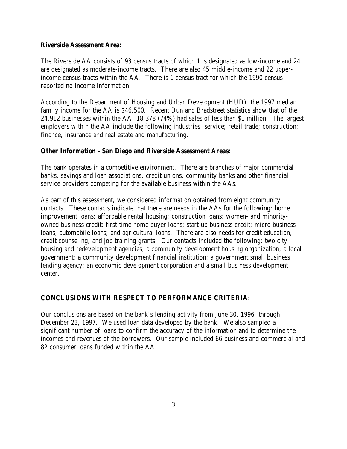#### **Riverside Assessment Area:**

The Riverside AA consists of 93 census tracts of which 1 is designated as low-income and 24 are designated as moderate-income tracts. There are also 45 middle-income and 22 upperincome census tracts within the AA. There is 1 census tract for which the 1990 census reported no income information.

According to the Department of Housing and Urban Development (HUD), the 1997 median family income for the AA is \$46,500. Recent Dun and Bradstreet statistics show that of the 24,912 businesses within the AA, 18,378 (74%) had sales of less than \$1 million. The largest employers within the AA include the following industries: service; retail trade; construction; finance, insurance and real estate and manufacturing.

#### **Other Information - San Diego and Riverside Assessment Areas:**

The bank operates in a competitive environment. There are branches of major commercial banks, savings and loan associations, credit unions, community banks and other financial service providers competing for the available business within the AAs.

As part of this assessment, we considered information obtained from eight community contacts. These contacts indicate that there are needs in the AAs for the following: home improvement loans; affordable rental housing; construction loans; women- and minorityowned business credit; first-time home buyer loans; start-up business credit; micro business loans; automobile loans; and agricultural loans. There are also needs for credit education, credit counseling, and job training grants. Our contacts included the following: two city housing and redevelopment agencies; a community development housing organization; a local government; a community development financial institution; a government small business lending agency; an economic development corporation and a small business development center.

## **CONCLUSIONS WITH RESPECT TO PERFORMANCE CRITERIA**:

Our conclusions are based on the bank's lending activity from June 30, 1996, through December 23, 1997. We used loan data developed by the bank. We also sampled a significant number of loans to confirm the accuracy of the information and to determine the incomes and revenues of the borrowers. Our sample included 66 business and commercial and 82 consumer loans funded within the AA.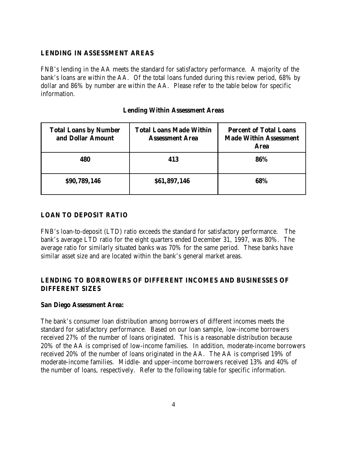#### **LENDING IN ASSESSMENT AREAS**

FNB's lending in the AA meets the standard for satisfactory performance. A majority of the bank's loans are within the AA. Of the total loans funded during this review period, 68% by dollar and 86% by number are within the AA. Please refer to the table below for specific information.

## **Lending Within Assessment Areas**

| <b>Total Loans by Number</b><br>and Dollar Amount | <b>Total Loans Made Within</b><br><b>Assessment Area</b> | <b>Percent of Total Loans</b><br><b>Made Within Assessment</b><br><b>Area</b> |
|---------------------------------------------------|----------------------------------------------------------|-------------------------------------------------------------------------------|
| 480                                               | 413                                                      | 86%                                                                           |
| \$90,789,146                                      | \$61,897,146                                             | 68%                                                                           |

## **LOAN TO DEPOSIT RATIO**

FNB's loan-to-deposit (LTD) ratio exceeds the standard for satisfactory performance. The bank's average LTD ratio for the eight quarters ended December 31, 1997, was 80%. The average ratio for similarly situated banks was 70% for the same period. These banks have similar asset size and are located within the bank's general market areas.

## **LENDING TO BORROWERS OF DIFFERENT INCOMES AND BUSINESSES OF DIFFERENT SIZES**

#### **San Diego Assessment Area:**

The bank's consumer loan distribution among borrowers of different incomes meets the standard for satisfactory performance. Based on our loan sample, low-income borrowers received 27% of the number of loans originated. This is a reasonable distribution because 20% of the AA is comprised of low-income families. In addition, moderate-income borrowers received 20% of the number of loans originated in the AA. The AA is comprised 19% of moderate-income families. Middle- and upper-income borrowers received 13% and 40% of the number of loans, respectively. Refer to the following table for specific information.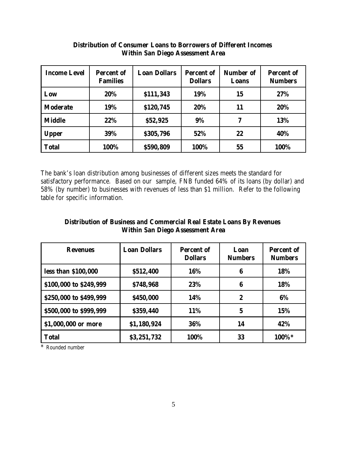| <b>Income Level</b> | <b>Percent of</b><br><b>Families</b> | <b>Loan Dollars</b> | <b>Percent of</b><br><b>Dollars</b> | Number of<br>Loans | <b>Percent of</b><br><b>Numbers</b> |
|---------------------|--------------------------------------|---------------------|-------------------------------------|--------------------|-------------------------------------|
| Low                 | 20%                                  | \$111,343           | 19%                                 | 15                 | 27%                                 |
| <b>Moderate</b>     | 19%                                  | \$120,745           | 20%                                 | 11                 | 20%                                 |
| <b>Middle</b>       | 22%                                  | \$52,925            | 9%                                  | 7                  | 13%                                 |
| <b>Upper</b>        | 39%                                  | \$305,796           | 52%                                 | 22                 | 40%                                 |
| <b>Total</b>        | 100%                                 | \$590,809           | 100%                                | 55                 | 100%                                |

## **Distribution of Consumer Loans to Borrowers of Different Incomes Within San Diego Assessment Area**

The bank's loan distribution among businesses of different sizes meets the standard for satisfactory performance. Based on our sample, FNB funded 64% of its loans (by dollar) and 58% (by number) to businesses with revenues of less than \$1 million. Refer to the following table for specific information.

## **Distribution of Business and Commercial Real Estate Loans By Revenues Within San Diego Assessment Area**

| <b>Revenues</b>        | <b>Loan Dollars</b> | <b>Percent of</b><br><b>Dollars</b> | Loan<br><b>Numbers</b> | <b>Percent of</b><br><b>Numbers</b> |
|------------------------|---------------------|-------------------------------------|------------------------|-------------------------------------|
| less than \$100,000    | \$512,400           | 16%                                 | 6                      | 18%                                 |
| \$100,000 to \$249,999 | \$748,968           | 23%                                 | 6                      | 18%                                 |
| \$250,000 to \$499,999 | \$450,000           | 14%                                 | $\boldsymbol{2}$       | 6%                                  |
| \$500,000 to \$999,999 | \$359,440           | 11%                                 | $\mathbf 5$            | 15%                                 |
| \$1,000,000 or more    | \$1,180,924         | 36%                                 | 14                     | 42%                                 |
| <b>Total</b>           | \$3,251,732         | 100%                                | 33                     | 100%*                               |

\* Rounded number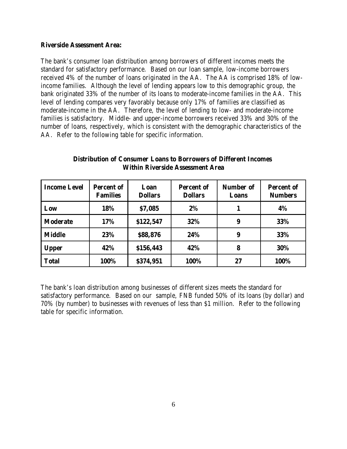#### **Riverside Assessment Area:**

The bank's consumer loan distribution among borrowers of different incomes meets the standard for satisfactory performance. Based on our loan sample, low-income borrowers received 4% of the number of loans originated in the AA. The AA is comprised 18% of lowincome families. Although the level of lending appears low to this demographic group, the bank originated 33% of the number of its loans to moderate-income families in the AA. This level of lending compares very favorably because only 17% of families are classified as moderate-income in the AA. Therefore, the level of lending to low- and moderate-income families is satisfactory. Middle- and upper-income borrowers received 33% and 30% of the number of loans, respectively, which is consistent with the demographic characteristics of the AA. Refer to the following table for specific information.

| <b>Income Level</b> | <b>Percent of</b><br><b>Families</b> | Loan<br><b>Dollars</b> | <b>Percent of</b><br><b>Dollars</b> | <b>Number of</b><br>Loans | <b>Percent of</b><br><b>Numbers</b> |
|---------------------|--------------------------------------|------------------------|-------------------------------------|---------------------------|-------------------------------------|
| Low                 | 18%                                  | \$7,085                | 2%                                  |                           | 4%                                  |
| <b>Moderate</b>     | 17%                                  | \$122,547              | 32%                                 | 9                         | 33%                                 |
| <b>Middle</b>       | 23%                                  | \$88,876               | 24%                                 | 9                         | 33%                                 |
| <b>Upper</b>        | 42%                                  | \$156,443              | 42%                                 | 8                         | 30%                                 |
| <b>Total</b>        | 100%                                 | \$374,951              | 100%                                | 27                        | 100%                                |

**Distribution of Consumer Loans to Borrowers of Different Incomes Within Riverside Assessment Area**

The bank's loan distribution among businesses of different sizes meets the standard for satisfactory performance. Based on our sample, FNB funded 50% of its loans (by dollar) and 70% (by number) to businesses with revenues of less than \$1 million. Refer to the following table for specific information.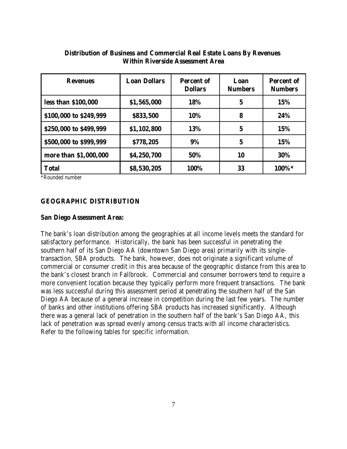| <b>Revenues</b>        | <b>Loan Dollars</b> | <b>Percent of</b><br><b>Dollars</b> | Loan<br><b>Numbers</b> | <b>Percent of</b><br><b>Numbers</b> |
|------------------------|---------------------|-------------------------------------|------------------------|-------------------------------------|
| less than \$100,000    | \$1,565,000         | 18%                                 | $\mathbf 5$            | 15%                                 |
| \$100,000 to \$249,999 | \$833,500           | 10%                                 | 8                      | 24%                                 |
| \$250,000 to \$499,999 | \$1,102,800         | 13%                                 | $5\phantom{.0}$        | 15%                                 |
| \$500,000 to \$999,999 | \$778,205           | 9%                                  | 5                      | 15%                                 |
| more than \$1,000,000  | \$4,250,700         | 50%                                 | 10                     | 30%                                 |
| <b>Total</b>           | \$8,530,205         | 100%                                | 33                     | 100%*                               |

## **Distribution of Business and Commercial Real Estate Loans By Revenues Within Riverside Assessment Area**

\*Rounded number

#### **GEOGRAPHIC DISTRIBUTION**

#### **San Diego Assessment Area:**

The bank's loan distribution among the geographies at all income levels meets the standard for satisfactory performance. Historically, the bank has been successful in penetrating the southern half of its San Diego AA (downtown San Diego area) primarily with its singletransaction, SBA products. The bank, however, does not originate a significant volume of commercial or consumer credit in this area because of the geographic distance from this area to the bank's closest branch in Fallbrook. Commercial and consumer borrowers tend to require a more convenient location because they typically perform more frequent transactions. The bank was less successful during this assessment period at penetrating the southern half of the San Diego AA because of a general increase in competition during the last few years. The number of banks and other institutions offering SBA products has increased significantly. Although there was a general lack of penetration in the southern half of the bank's San Diego AA, this lack of penetration was spread evenly among census tracts with all income characteristics. Refer to the following tables for specific information.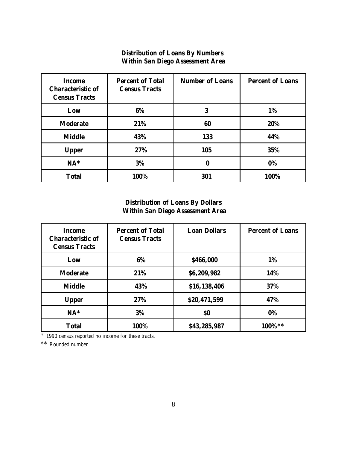#### **Distribution of Loans By Numbers Within San Diego Assessment Area**

| <b>Income</b><br><b>Characteristic of</b><br><b>Census Tracts</b> | <b>Percent of Total</b><br><b>Census Tracts</b> | <b>Number of Loans</b> | <b>Percent of Loans</b> |
|-------------------------------------------------------------------|-------------------------------------------------|------------------------|-------------------------|
| Low                                                               | 6%                                              | 3                      | 1%                      |
| <b>Moderate</b>                                                   | 21%                                             | 60                     | 20%                     |
| <b>Middle</b>                                                     | 43%                                             | 133                    | 44%                     |
| <b>Upper</b>                                                      | 27%                                             | 105                    | 35%                     |
| $NA*$                                                             | 3%                                              | 0                      | 0%                      |
| <b>Total</b>                                                      | 100%                                            | 301                    | 100%                    |

## **Distribution of Loans By Dollars Within San Diego Assessment Area**

| Income<br><b>Characteristic of</b><br><b>Census Tracts</b> | <b>Percent of Total</b><br><b>Census Tracts</b> | <b>Loan Dollars</b> | <b>Percent of Loans</b> |
|------------------------------------------------------------|-------------------------------------------------|---------------------|-------------------------|
| Low                                                        | 6%                                              | \$466,000           | 1%                      |
| <b>Moderate</b>                                            | 21%                                             | \$6,209,982         | 14%                     |
| <b>Middle</b>                                              | 43%                                             | \$16,138,406        | 37%                     |
| <b>Upper</b>                                               | 27%                                             | \$20,471,599        | 47%                     |
| $NA*$                                                      | 3%                                              | \$0                 | 0%                      |
| <b>Total</b>                                               | 100%                                            | \$43,285,987        | 100%**                  |

\* 1990 census reported no income for these tracts.

\*\* Rounded number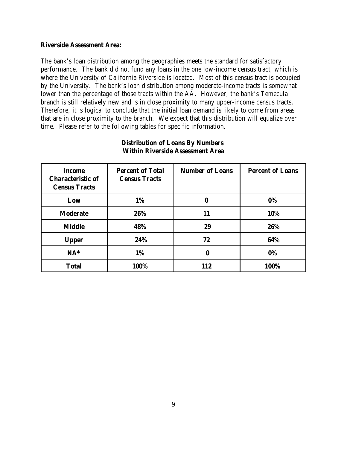#### **Riverside Assessment Area:**

The bank's loan distribution among the geographies meets the standard for satisfactory performance. The bank did not fund any loans in the one low-income census tract, which is where the University of California Riverside is located. Most of this census tract is occupied by the University. The bank's loan distribution among moderate-income tracts is somewhat lower than the percentage of those tracts within the AA. However, the bank's Temecula branch is still relatively new and is in close proximity to many upper-income census tracts. Therefore, it is logical to conclude that the initial loan demand is likely to come from areas that are in close proximity to the branch. We expect that this distribution will equalize over time. Please refer to the following tables for specific information.

| Income<br><b>Characteristic of</b><br><b>Census Tracts</b> | <b>Percent of Total</b><br><b>Census Tracts</b> | <b>Number of Loans</b> | <b>Percent of Loans</b> |
|------------------------------------------------------------|-------------------------------------------------|------------------------|-------------------------|
| Low                                                        | 1%                                              | 0                      | $0\%$                   |
| <b>Moderate</b>                                            | 26%                                             | 11                     | 10%                     |
| <b>Middle</b>                                              | 48%                                             | 29                     | 26%                     |
| <b>Upper</b>                                               | 24%                                             | 72                     | 64%                     |
| $NA^*$                                                     | 1%                                              | 0                      | $0\%$                   |
| <b>Total</b>                                               | 100%                                            | 112                    | 100%                    |

#### **Distribution of Loans By Numbers Within Riverside Assessment Area**